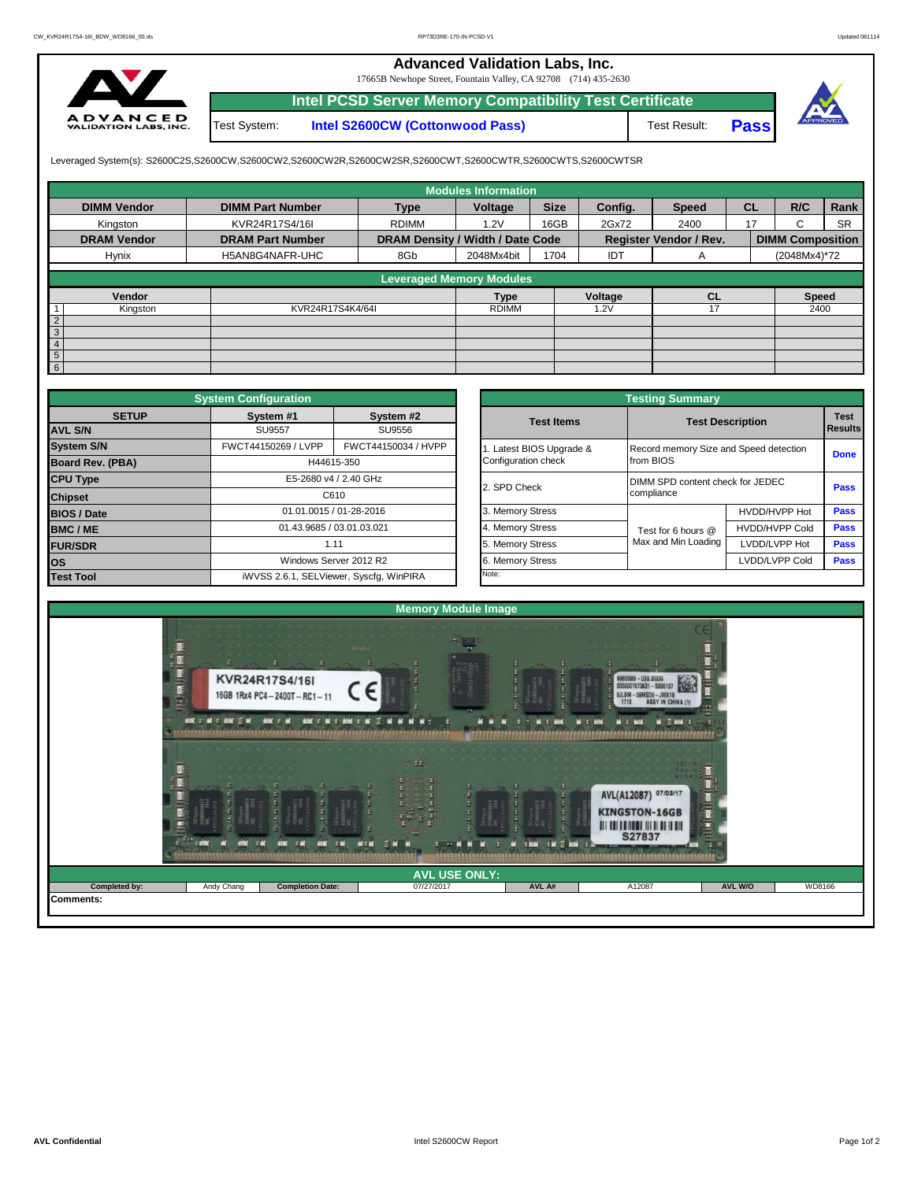## **Advanced Validation Labs, Inc.**

17665B Newhope Street, Fountain Valley, CA 92708 (714) 435-2630



**Intel PCSD Server Memory Compatibility Test Certificate** Test System: **Intel S2600CW (Cottonwood Pass)**

Test Result: **Pass**



Leveraged System(s): S2600C2S,S2600CW,S2600CW2,S2600CW2R,S2600CW2SR,S2600CWT,S2600CWTR,S2600CWTS,S2600CWTSR

|                    |                         |                                  | <b>Modules Information</b>      |             |            |                               |           |                         |           |
|--------------------|-------------------------|----------------------------------|---------------------------------|-------------|------------|-------------------------------|-----------|-------------------------|-----------|
| <b>DIMM Vendor</b> | <b>DIMM Part Number</b> | <b>Type</b>                      | Voltage                         | <b>Size</b> | Config.    | <b>Speed</b>                  | <b>CL</b> | R/C                     | Rank      |
| Kingston           | KVR24R17S4/16I          | <b>RDIMM</b>                     | 1.2V                            | 16GB        | 2Gx72      | 2400                          | 17        | $\sim$<br>ι.            | <b>SR</b> |
| <b>DRAM Vendor</b> | <b>DRAM Part Number</b> | DRAM Density / Width / Date Code |                                 |             |            | <b>Register Vendor / Rev.</b> |           | <b>DIMM Composition</b> |           |
| Hynix              | H5AN8G4NAFR-UHC         | 8Gb                              | 2048Mx4bit                      | 1704        | <b>IDT</b> | A                             |           | (2048Mx4)*72            |           |
|                    |                         |                                  | <b>Leveraged Memory Modules</b> |             |            |                               |           |                         |           |
|                    |                         |                                  |                                 |             |            |                               |           |                         |           |
| Vendor             |                         |                                  | <b>Type</b>                     |             | Voltage    | <b>CL</b>                     |           | <b>Speed</b>            |           |
| Kingston           | KVR24R17S4K4/64I        |                                  | <b>RDIMM</b>                    |             | 1.2V       | 17                            |           | 2400                    |           |
| $\overline{2}$     |                         |                                  |                                 |             |            |                               |           |                         |           |
| 3                  |                         |                                  |                                 |             |            |                               |           |                         |           |
|                    |                         |                                  |                                 |             |            |                               |           |                         |           |
| 5                  |                         |                                  |                                 |             |            |                               |           |                         |           |
| $6\phantom{1}$     |                         |                                  |                                 |             |            |                               |           |                         |           |

|                    | <b>System Configuration</b>             |                           |  |                       | <b>Testing Summary</b>                 |                         |             |  |  |
|--------------------|-----------------------------------------|---------------------------|--|-----------------------|----------------------------------------|-------------------------|-------------|--|--|
| <b>SETUP</b>       | System #1                               | System #2                 |  | <b>Test Items</b>     |                                        | <b>Test Description</b> |             |  |  |
| <b>AVL S/N</b>     | <b>SU9557</b>                           | SU9556                    |  |                       |                                        |                         |             |  |  |
| <b>System S/N</b>  | FWCT44150269 / LVPP                     | FWCT44150034 / HVPP       |  | Latest BIOS Upgrade & | Record memory Size and Speed detection |                         | <b>Done</b> |  |  |
| Board Rev. (PBA)   |                                         | H44615-350                |  | Configuration check   | from BIOS                              |                         |             |  |  |
| <b>CPU Type</b>    |                                         | E5-2680 v4 / 2.40 GHz     |  | 2. SPD Check          | DIMM SPD content check for JEDEC       |                         | Pass        |  |  |
| <b>Chipset</b>     | C610                                    |                           |  |                       | compliance                             |                         |             |  |  |
| <b>BIOS / Date</b> | 01.01.0015 / 01-28-2016                 |                           |  | 3. Memory Stress      |                                        | HVDD/HVPP Hot           | <b>Pass</b> |  |  |
| <b>BMC/ME</b>      |                                         | 01.43.9685 / 03.01.03.021 |  | 4. Memory Stress      | Test for 6 hours @                     | <b>HVDD/HVPP Cold</b>   | <b>Pass</b> |  |  |
| <b>FUR/SDR</b>     |                                         | 1.11                      |  | 5. Memory Stress      | Max and Min Loading                    | LVDD/LVPP Hot           | Pass        |  |  |
| <b>los</b>         |                                         | Windows Server 2012 R2    |  | 6. Memory Stress      |                                        | LVDD/LVPP Cold          | Pass        |  |  |
| <b>Test Tool</b>   | iWVSS 2.6.1, SELViewer, Syscfq, WinPIRA |                           |  | Note:                 |                                        |                         |             |  |  |

|              | <b>System Configuration</b> |                                         |                     | <b>Testing Summary</b>                 |                       |                                                                                      |  |  |
|--------------|-----------------------------|-----------------------------------------|---------------------|----------------------------------------|-----------------------|--------------------------------------------------------------------------------------|--|--|
| <b>SETUP</b> | System #1                   | System #2                               | <b>Test Items</b>   | <b>Test Description</b>                |                       |                                                                                      |  |  |
|              | <b>SU9557</b>               | SU9556                                  |                     |                                        |                       |                                                                                      |  |  |
|              | FWCT44150269 / LVPP         | FWCT44150034 / HVPP                     |                     | Record memory Size and Speed detection |                       |                                                                                      |  |  |
| PBA)         |                             | H44615-350                              | Configuration check | from BIOS                              |                       |                                                                                      |  |  |
|              |                             | E5-2680 v4 / 2.40 GHz                   | 2. SPD Check        | DIMM SPD content check for JEDEC       |                       |                                                                                      |  |  |
|              |                             | C610                                    |                     | compliance                             |                       | <b>Test</b><br><b>Results</b><br><b>Done</b><br>Pass<br>Pass<br>Pass<br>Pass<br>Pass |  |  |
|              |                             | 01.01.0015 / 01-28-2016                 | 3. Memory Stress    |                                        | HVDD/HVPP Hot         |                                                                                      |  |  |
|              | 01.43.9685 / 03.01.03.021   |                                         | 4. Memory Stress    | Test for 6 hours @                     | <b>HVDD/HVPP Cold</b> |                                                                                      |  |  |
|              |                             | 1.11                                    | 5. Memory Stress    | Max and Min Loading                    | LVDD/LVPP Hot         |                                                                                      |  |  |
|              |                             | Windows Server 2012 R2                  | 6. Memory Stress    |                                        | LVDD/LVPP Cold        |                                                                                      |  |  |
|              |                             | iWVSS 2.6.1, SELViewer, Syscfq, WinPIRA | Note:               |                                        |                       |                                                                                      |  |  |